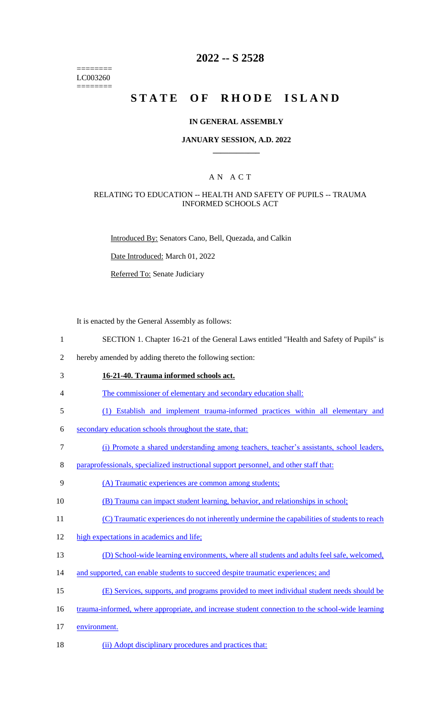======== LC003260 ========

# **2022 -- S 2528**

# STATE OF RHODE ISLAND

#### **IN GENERAL ASSEMBLY**

#### **JANUARY SESSION, A.D. 2022 \_\_\_\_\_\_\_\_\_\_\_\_**

## A N A C T

#### RELATING TO EDUCATION -- HEALTH AND SAFETY OF PUPILS -- TRAUMA INFORMED SCHOOLS ACT

Introduced By: Senators Cano, Bell, Quezada, and Calkin

Date Introduced: March 01, 2022

Referred To: Senate Judiciary

It is enacted by the General Assembly as follows:

- 1 SECTION 1. Chapter 16-21 of the General Laws entitled "Health and Safety of Pupils" is
- 2 hereby amended by adding thereto the following section:
- 3 **16-21-40. Trauma informed schools act.**
- 4 The commissioner of elementary and secondary education shall:
- 5 (1) Establish and implement trauma-informed practices within all elementary and
- 6 secondary education schools throughout the state, that:
- 7 (i) Promote a shared understanding among teachers, teacher's assistants, school leaders,
- 8 paraprofessionals, specialized instructional support personnel, and other staff that:
- 9 (A) Traumatic experiences are common among students;
- 10 (B) Trauma can impact student learning, behavior, and relationships in school;
- 11 (C) Traumatic experiences do not inherently undermine the capabilities of students to reach
- 12 high expectations in academics and life;
- 13 (D) School-wide learning environments, where all students and adults feel safe, welcomed,
- 14 and supported, can enable students to succeed despite traumatic experiences; and
- 15 (E) Services, supports, and programs provided to meet individual student needs should be
- 16 trauma-informed, where appropriate, and increase student connection to the school-wide learning
- 17 environment.
- 18 (ii) Adopt disciplinary procedures and practices that: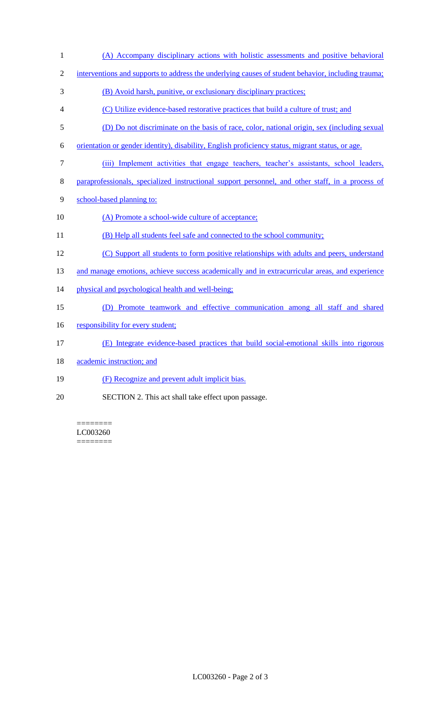(A) Accompany disciplinary actions with holistic assessments and positive behavioral interventions and supports to address the underlying causes of student behavior, including trauma; (B) Avoid harsh, punitive, or exclusionary disciplinary practices; (C) Utilize evidence-based restorative practices that build a culture of trust; and (D) Do not discriminate on the basis of race, color, national origin, sex (including sexual orientation or gender identity), disability, English proficiency status, migrant status, or age. (iii) Implement activities that engage teachers, teacher's assistants, school leaders, paraprofessionals, specialized instructional support personnel, and other staff, in a process of school-based planning to: 10 (A) Promote a school-wide culture of acceptance; 11 (B) Help all students feel safe and connected to the school community; (C) Support all students to form positive relationships with adults and peers, understand 13 and manage emotions, achieve success academically and in extracurricular areas, and experience 14 physical and psychological health and well-being; (D) Promote teamwork and effective communication among all staff and shared 16 responsibility for every student; (E) Integrate evidence-based practices that build social-emotional skills into rigorous 18 academic instruction; and (F) Recognize and prevent adult implicit bias. SECTION 2. This act shall take effect upon passage.

======== LC003260 ========